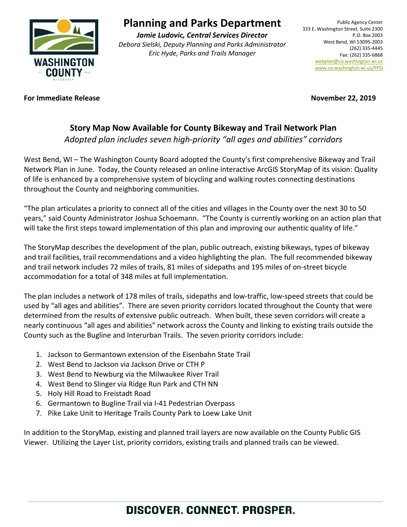

## **Planning and Parks Department**

*Jamie Ludovic, Central Services Director Debora Sielski, Deputy Planning and Parks Administrator Eric Hyde, Parks and Trails Manager*

#### **For Immediate Release November 22, 2019**

### **Story Map Now Available for County Bikeway and Trail Network Plan**

*Adopted plan includes seven high-priority "all ages and abilities" corridors*

West Bend, WI – The Washington County Board adopted the County's first comprehensive Bikeway and Trail Network Plan in June. Today, the County released an online interactive ArcGIS StoryMap of its vision: Quality of life is enhanced by a comprehensive system of bicycling and walking routes connecting destinations throughout the County and neighboring communities.

"The plan articulates a priority to connect all of the cities and villages in the County over the next 30 to 50 years," said County Administrator Joshua Schoemann. "The County is currently working on an action plan that will take the first steps toward implementation of this plan and improving our authentic quality of life."

The StoryMap describes the development of the plan, public outreach, existing bikeways, types of bikeway and trail facilities, trail recommendations and a video highlighting the plan. The full recommended bikeway and trail network includes 72 miles of trails, 81 miles of sidepaths and 195 miles of on-street bicycle accommodation for a total of 348 miles at full implementation.

The plan includes a network of 178 miles of trails, sidepaths and low-traffic, low-speed streets that could be used by "all ages and abilities". There are seven priority corridors located throughout the County that were determined from the results of extensive public outreach. When built, these seven corridors will create a nearly continuous "all ages and abilities" network across the County and linking to existing trails outside the County such as the Bugline and Interurban Trails. The seven priority corridors include:

- 1. Jackson to Germantown extension of the Eisenbahn State Trail
- 2. West Bend to Jackson via Jackson Drive or CTH P
- 3. West Bend to Newburg via the Milwaukee River Trail
- 4. West Bend to Slinger via Ridge Run Park and CTH NN
- 5. Holy Hill Road to Freistadt Road
- 6. Germantown to Bugline Trail via I-41 Pedestrian Overpass
- 7. Pike Lake Unit to Heritage Trails County Park to Loew Lake Unit

In addition to the StoryMap, existing and planned trail layers are now available on the County Public GIS Viewer. Utilizing the Layer List, priority corridors, existing trails and planned trails can be viewed.

# DISCOVER. CONNECT. PROSPER.